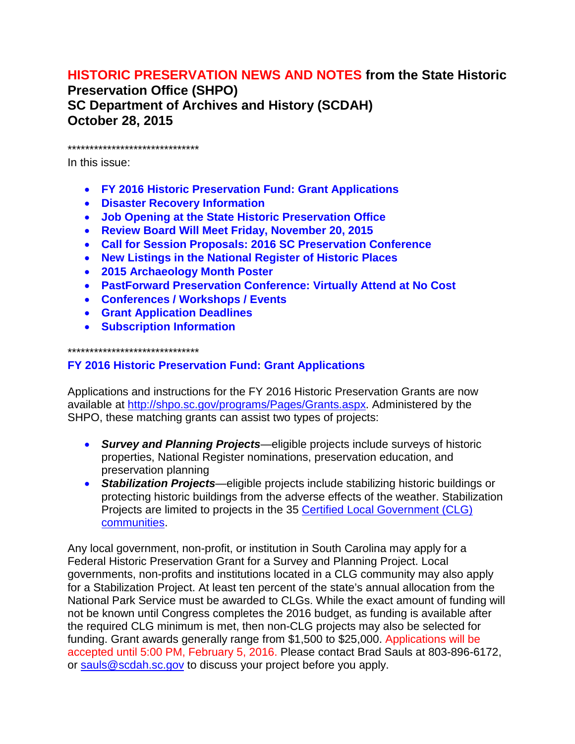# **HISTORIC PRESERVATION NEWS AND NOTES from the State Historic**

**Preservation Office (SHPO) SC Department of Archives and History (SCDAH) October 28, 2015**

\*\*\*\*\*\*\*\*\*\*\*\*\*\*\*\*\*\*\*\*\*\*\*\*\*\*\*\*\*\*

In this issue:

- **FY 2016 Historic Preservation Fund: Grant Applications**
- **Disaster Recovery Information**
- **Job Opening at the State Historic Preservation Office**
- **Review Board Will Meet Friday, November 20, 2015**
- **Call for Session Proposals: 2016 SC Preservation Conference**
- **New Listings in the National Register of Historic Places**
- **2015 Archaeology Month Poster**
- **PastForward Preservation Conference: Virtually Attend at No Cost**
- **Conferences / Workshops / Events**
- **Grant Application Deadlines**
- **Subscription Information**

\*\*\*\*\*\*\*\*\*\*\*\*\*\*\*\*\*\*\*\*\*\*\*\*\*\*\*\*\*\*

## **FY 2016 Historic Preservation Fund: Grant Applications**

Applications and instructions for the FY 2016 Historic Preservation Grants are now available at [http://shpo.sc.gov/programs/Pages/Grants.aspx.](http://shpo.sc.gov/programs/Pages/Grants.aspx) Administered by the SHPO, these matching grants can assist two types of projects:

- *Survey and Planning Projects*—eligible projects include surveys of historic properties, National Register nominations, preservation education, and preservation planning
- *Stabilization Projects*—eligible projects include stabilizing historic buildings or protecting historic buildings from the adverse effects of the weather. Stabilization Projects are limited to projects in the 35 [Certified Local Government \(CLG\)](http://shpo.sc.gov/programs/locgov/Pages/CLG.aspx)  [communities.](http://shpo.sc.gov/programs/locgov/Pages/CLG.aspx)

Any local government, non-profit, or institution in South Carolina may apply for a Federal Historic Preservation Grant for a Survey and Planning Project. Local governments, non-profits and institutions located in a CLG community may also apply for a Stabilization Project. At least ten percent of the state's annual allocation from the National Park Service must be awarded to CLGs. While the exact amount of funding will not be known until Congress completes the 2016 budget, as funding is available after the required CLG minimum is met, then non-CLG projects may also be selected for funding. Grant awards generally range from \$1,500 to \$25,000. Applications will be accepted until 5:00 PM, February 5, 2016. Please contact Brad Sauls at 803-896-6172, or [sauls@scdah.sc.gov](mailto:sauls@scdah.sc.gov) to discuss your project before you apply.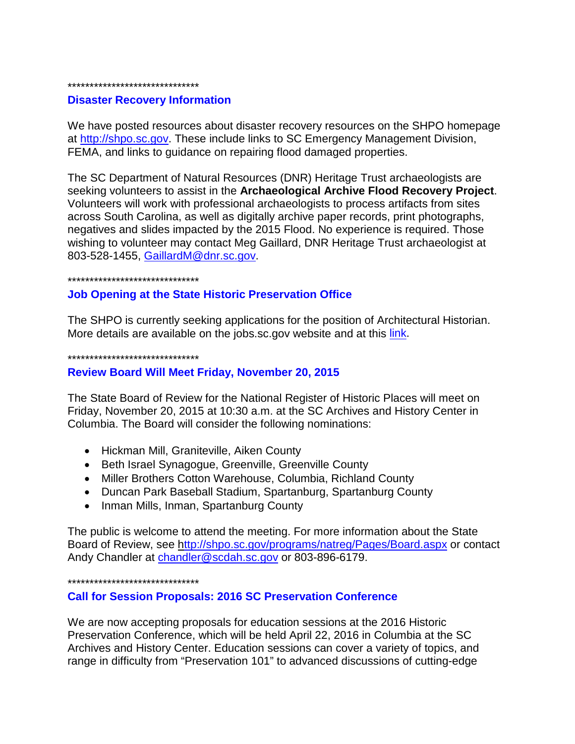#### \*\*\*\*\*\*\*\*\*\*\*\*\*\*\*\*\*\*\*\*\*\*\*\*\*\*\*\*\*\*

#### **Disaster Recovery Information**

We have posted resources about disaster recovery resources on the SHPO homepage at [http://shpo.sc.gov.](http://shpo.sc.gov/) These include links to SC Emergency Management Division, FEMA, and links to guidance on repairing flood damaged properties.

The SC Department of Natural Resources (DNR) Heritage Trust archaeologists are seeking volunteers to assist in the **Archaeological Archive Flood Recovery Project**. Volunteers will work with professional archaeologists to process artifacts from sites across South Carolina, as well as digitally archive paper records, print photographs, negatives and slides impacted by the 2015 Flood. No experience is required. Those wishing to volunteer may contact Meg Gaillard, DNR Heritage Trust archaeologist at 803-528-1455, [GaillardM@dnr.sc.gov.](mailto:GaillardM@dnr.sc.gov)

#### \*\*\*\*\*\*\*\*\*\*\*\*\*\*\*\*\*\*\*\*\*\*\*\*\*\*\*\*\*\*

### **Job Opening at the State Historic Preservation Office**

The SHPO is currently seeking applications for the position of Architectural Historian. More details are available on the jobs.sc.gov website and at this [link.](http://agency.governmentjobs.com/sc/job_bulletin.cfm?JobID=1272769)

\*\*\*\*\*\*\*\*\*\*\*\*\*\*\*\*\*\*\*\*\*\*\*\*\*\*\*\*\*\*

### **Review Board Will Meet Friday, November 20, 2015**

The State Board of Review for the National Register of Historic Places will meet on Friday, November 20, 2015 at 10:30 a.m. at the SC Archives and History Center in Columbia. The Board will consider the following nominations:

- Hickman Mill, Graniteville, Aiken County
- Beth Israel Synagogue, Greenville, Greenville County
- Miller Brothers Cotton Warehouse, Columbia, Richland County
- Duncan Park Baseball Stadium, Spartanburg, Spartanburg County
- Inman Mills, Inman, Spartanburg County

The public is welcome to attend the meeting. For more information about the State Board of Review, see<http://shpo.sc.gov/programs/natreg/Pages/Board.aspx> or contact Andy Chandler at [chandler@scdah.sc.gov](mailto:chandler@scdah.sc.gov) or 803-896-6179.

#### \*\*\*\*\*\*\*\*\*\*\*\*\*\*\*\*\*\*\*\*\*\*\*\*\*\*\*\*\*\*

### **Call for Session Proposals: 2016 SC Preservation Conference**

We are now accepting proposals for education sessions at the 2016 Historic Preservation Conference, which will be held April 22, 2016 in Columbia at the SC Archives and History Center. Education sessions can cover a variety of topics, and range in difficulty from "Preservation 101" to advanced discussions of cutting-edge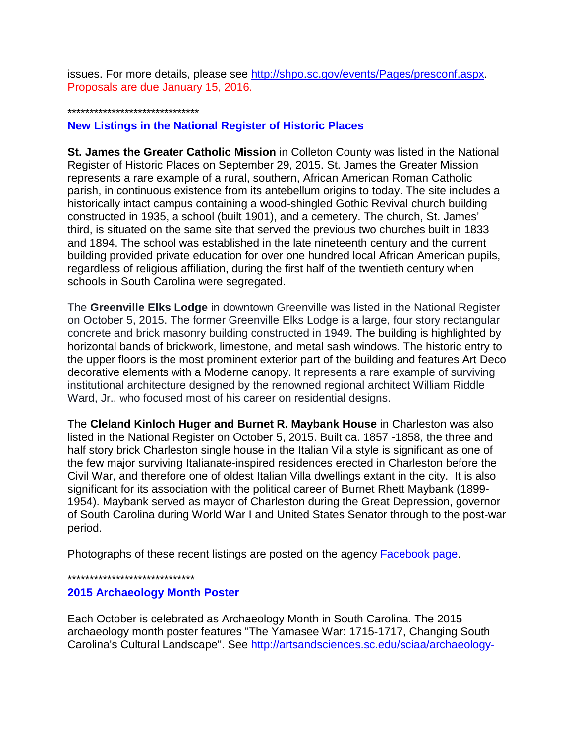issues. For more details, please see [http://shpo.sc.gov/events/Pages/presconf.aspx.](http://shpo.sc.gov/events/Pages/presconf.aspx) Proposals are due January 15, 2016.

#### \*\*\*\*\*\*\*\*\*\*\*\*\*\*\*\*\*\*\*\*\*\*\*\*\*\*\*\*\*\*

## **New Listings in the National Register of Historic Places**

**St. James the Greater Catholic Mission** in Colleton County was listed in the National Register of Historic Places on September 29, 2015. St. James the Greater Mission represents a rare example of a rural, southern, African American Roman Catholic parish, in continuous existence from its antebellum origins to today. The site includes a historically intact campus containing a wood-shingled Gothic Revival church building constructed in 1935, a school (built 1901), and a cemetery. The church, St. James' third, is situated on the same site that served the previous two churches built in 1833 and 1894. The school was established in the late nineteenth century and the current building provided private education for over one hundred local African American pupils, regardless of religious affiliation, during the first half of the twentieth century when schools in South Carolina were segregated.

The **Greenville Elks Lodge** in downtown Greenville was listed in the National Register on October 5, 2015. The former Greenville Elks Lodge is a large, four story rectangular concrete and brick masonry building constructed in 1949. The building is highlighted by horizontal bands of brickwork, limestone, and metal sash windows. The historic entry to the upper floors is the most prominent exterior part of the building and features Art Deco decorative elements with a Moderne canopy. It represents a rare example of surviving institutional architecture designed by the renowned regional architect William Riddle Ward, Jr., who focused most of his career on residential designs.

The **Cleland Kinloch Huger and Burnet R. Maybank House** in Charleston was also listed in the National Register on October 5, 2015. Built ca. 1857 -1858, the three and half story brick Charleston single house in the Italian Villa style is significant as one of the few major surviving Italianate-inspired residences erected in Charleston before the Civil War, and therefore one of oldest Italian Villa dwellings extant in the city. It is also significant for its association with the political career of Burnet Rhett Maybank (1899- 1954). Maybank served as mayor of Charleston during the Great Depression, governor of South Carolina during World War I and United States Senator through to the post-war period.

Photographs of these recent listings are posted on the agency [Facebook page.](https://www.facebook.com/scdah/)

\*\*\*\*\*\*\*\*\*\*\*\*\*\*\*\*\*\*\*\*\*\*\*\*\*\*\*\*\*

## **2015 Archaeology Month Poster**

Each October is celebrated as Archaeology Month in South Carolina. The 2015 archaeology month poster features "The Yamasee War: 1715-1717, Changing South Carolina's Cultural Landscape". See [http://artsandsciences.sc.edu/sciaa/archaeology-](http://artsandsciences.sc.edu/sciaa/archaeology-month-2014)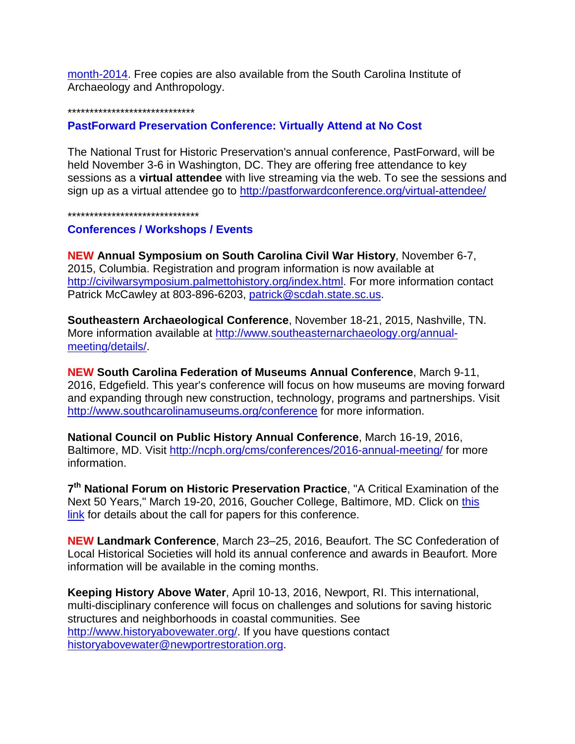month-2014. Free copies are also available from the South Carolina Institute of Archaeology and Anthropology.

#### \*\*\*\*\*\*\*\*\*\*\*\*\*\*\*\*\*\*\*\*\*\*\*\*\*\*\*\*\*

**PastForward Preservation Conference: Virtually Attend at No Cost**

The National Trust for Historic Preservation's annual conference, PastForward, will be held November 3-6 in Washington, DC. They are offering free attendance to key sessions as a **virtual attendee** with live streaming via the web. To see the sessions and sign up as a virtual attendee go to<http://pastforwardconference.org/virtual-attendee/>

\*\*\*\*\*\*\*\*\*\*\*\*\*\*\*\*\*\*\*\*\*\*\*\*\*\*\*\*\*\*

### **Conferences / Workshops / Events**

**NEW Annual Symposium on South Carolina Civil War History**, November 6-7, 2015, Columbia. Registration and program information is now available at [http://civilwarsymposium.palmettohistory.org/index.html.](http://civilwarsymposium.palmettohistory.org/index.html) For more information contact Patrick McCawley at 803-896-6203, [patrick@scdah.state.sc.us.](mailto:patrick@scdah.state.sc.us)

**Southeastern Archaeological Conference**, November 18-21, 2015, Nashville, TN. More information available at [http://www.southeasternarchaeology.org/annual](http://www.southeasternarchaeology.org/annual-meeting/details/)[meeting/details/.](http://www.southeasternarchaeology.org/annual-meeting/details/)

**NEW South Carolina Federation of Museums Annual Conference**, March 9-11, 2016, Edgefield. This year's conference will focus on how museums are moving forward and expanding through new construction, technology, programs and partnerships. Visit <http://www.southcarolinamuseums.org/conference> for more information.

**National Council on Public History Annual Conference**, March 16-19, 2016, Baltimore, MD. Visit<http://ncph.org/cms/conferences/2016-annual-meeting/> for more information.

**7th National Forum on Historic Preservation Practice**, "A Critical Examination of the Next 50 Years," March 19-20, 2016, Goucher College, Baltimore, MD. Click on [this](http://r20.rs6.net/tn.jsp?f=001hMPQBJk4VRsK1GnY1QbDn8PkF6oKo9uy6JmKb2Z0hw3lOZAL7L2UB8_r8VZWytxRpff9OnCiWA44GSul0oT6YjHOeLu8xv3eErb-BvA5ZoRMI6piee6_b7NIMdbGTX_1fstKwqxrBhasT1dGI629sbyUm76SfqUc6j0a8gSs2yrmxsu_iifoM51oeQ2j9Rpe3wJdOVNioGPxk5CFCJtQAY0TLHs5ujy8D2PvS2XjItjANNyxtElCIA==&c=LKBgiGZbPQ5sOqwXYXJRQf1VZK1Pq5dBTkQ7J0VqGAnWRXnvdo7OXw==&ch=J5ppA5Q7LVWvNiGYWzggtOq0RzkRz7Imf8P59md45jZv-XHgNp2D-g==)  [link](http://r20.rs6.net/tn.jsp?f=001hMPQBJk4VRsK1GnY1QbDn8PkF6oKo9uy6JmKb2Z0hw3lOZAL7L2UB8_r8VZWytxRpff9OnCiWA44GSul0oT6YjHOeLu8xv3eErb-BvA5ZoRMI6piee6_b7NIMdbGTX_1fstKwqxrBhasT1dGI629sbyUm76SfqUc6j0a8gSs2yrmxsu_iifoM51oeQ2j9Rpe3wJdOVNioGPxk5CFCJtQAY0TLHs5ujy8D2PvS2XjItjANNyxtElCIA==&c=LKBgiGZbPQ5sOqwXYXJRQf1VZK1Pq5dBTkQ7J0VqGAnWRXnvdo7OXw==&ch=J5ppA5Q7LVWvNiGYWzggtOq0RzkRz7Imf8P59md45jZv-XHgNp2D-g==) for details about the call for papers for this conference.

**NEW Landmark Conference**, March 23–25, 2016, Beaufort. The SC Confederation of Local Historical Societies will hold its annual conference and awards in Beaufort. More information will be available in the coming months.

**Keeping History Above Water**, April 10-13, 2016, Newport, RI. This international, multi-disciplinary conference will focus on challenges and solutions for saving historic structures and neighborhoods in coastal communities. See [http://www.historyabovewater.org/.](http://www.historyabovewater.org/) If you have questions contact [historyabovewater@newportrestoration.org.](mailto:historyabovewater@newportrestoration.org)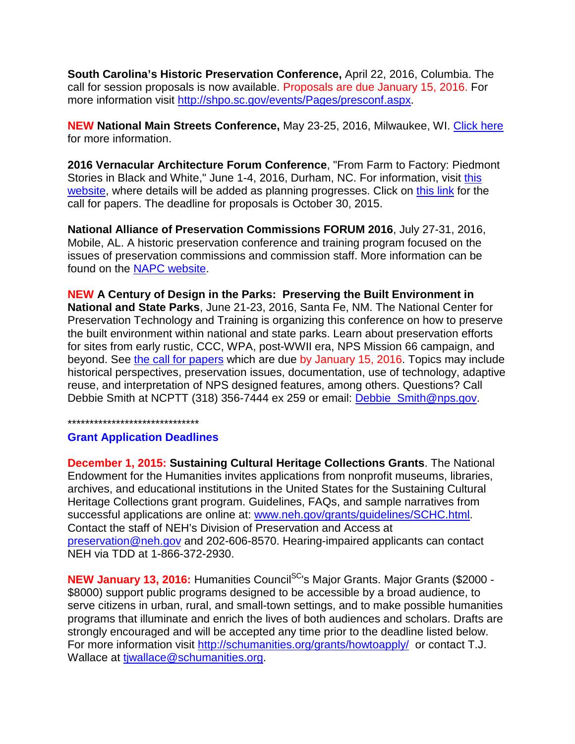**South Carolina's Historic Preservation Conference,** April 22, 2016, Columbia. The call for session proposals is now available. Proposals are due January 15, 2016. For more information visit [http://shpo.sc.gov/events/Pages/presconf.aspx.](http://shpo.sc.gov/events/Pages/presconf.aspx)

**NEW National Main Streets Conference,** May 23-25, 2016, Milwaukee, WI. [Click here](http://www.preservationnation.org/main-street/training/conference/2016---milwaukee/main-street-now-2016.html#.Vi4bqFTD-os) for more information.

**2016 Vernacular Architecture Forum Conference**, "From Farm to Factory: Piedmont Stories in Black and White," June 1-4, 2016, Durham, NC. For information, visit [this](http://r20.rs6.net/tn.jsp?f=001hMPQBJk4VRsK1GnY1QbDn8PkF6oKo9uy6JmKb2Z0hw3lOZAL7L2UB8_r8VZWytxRabR8qkJcCxqHzYTnqomGbMvwu4zEzkptoKjxcq3JO7lqzZMKk6Tfry79K8zEERnjl2L4vES5gtddcG1RsvN4XxAc871b5TuU0mHPcw8z3s4-3WO8eYpLfA==&c=LKBgiGZbPQ5sOqwXYXJRQf1VZK1Pq5dBTkQ7J0VqGAnWRXnvdo7OXw==&ch=J5ppA5Q7LVWvNiGYWzggtOq0RzkRz7Imf8P59md45jZv-XHgNp2D-g==)  [website,](http://r20.rs6.net/tn.jsp?f=001hMPQBJk4VRsK1GnY1QbDn8PkF6oKo9uy6JmKb2Z0hw3lOZAL7L2UB8_r8VZWytxRabR8qkJcCxqHzYTnqomGbMvwu4zEzkptoKjxcq3JO7lqzZMKk6Tfry79K8zEERnjl2L4vES5gtddcG1RsvN4XxAc871b5TuU0mHPcw8z3s4-3WO8eYpLfA==&c=LKBgiGZbPQ5sOqwXYXJRQf1VZK1Pq5dBTkQ7J0VqGAnWRXnvdo7OXw==&ch=J5ppA5Q7LVWvNiGYWzggtOq0RzkRz7Imf8P59md45jZv-XHgNp2D-g==) where details will be added as planning progresses. Click on [this link](http://r20.rs6.net/tn.jsp?f=001hMPQBJk4VRsK1GnY1QbDn8PkF6oKo9uy6JmKb2Z0hw3lOZAL7L2UB8_r8VZWytxRWzqSCxEWNOe8N4YTqsqsYXQjKz-E4rLWhdYWHkHdhuEV_x9qhIJdF_GHNZWWrXW8o08QG9xKG5cwRJ4KJDAryjxGK-QcEDuGvlfY9czMNx9eMXJ6ZsWE_9_vVh2Gu4WG&c=LKBgiGZbPQ5sOqwXYXJRQf1VZK1Pq5dBTkQ7J0VqGAnWRXnvdo7OXw==&ch=J5ppA5Q7LVWvNiGYWzggtOq0RzkRz7Imf8P59md45jZv-XHgNp2D-g==) for the call for papers. The deadline for proposals is October 30, 2015.

**National Alliance of Preservation Commissions FORUM 2016**, July 27-31, 2016, Mobile, AL. A historic preservation conference and training program focused on the issues of preservation commissions and commission staff. More information can be found on the [NAPC website.](http://r20.rs6.net/tn.jsp?f=001hMPQBJk4VRsK1GnY1QbDn8PkF6oKo9uy6JmKb2Z0hw3lOZAL7L2UB8_r8VZWytxRTTAXmXLzRsVmV8t9EYgS48N8AZY1al6GpS08KjjSBRT-poAQVNEtOHIpdyTnBni7duU1ZwMNaPfigJ6wMsJUJs_kRZRmmHJSZFzKD6SQKqh6Jhg4NsqhhY8HkuZosmzY&c=LKBgiGZbPQ5sOqwXYXJRQf1VZK1Pq5dBTkQ7J0VqGAnWRXnvdo7OXw==&ch=J5ppA5Q7LVWvNiGYWzggtOq0RzkRz7Imf8P59md45jZv-XHgNp2D-g==)

**NEW A Century of Design in the Parks: Preserving the Built Environment in National and State Parks**, June 21-23, 2016, Santa Fe, NM. The National Center for Preservation Technology and Training is organizing this conference on how to preserve the built environment within national and state parks. Learn about preservation efforts for sites from early rustic, CCC, WPA, post-WWII era, NPS Mission 66 campaign, and beyond. See [the call for papers](http://r20.rs6.net/tn.jsp?f=001K9ah97RO0CViDiIlJuYQvFMfNldwJDmNcvt7TGCowWeqAc3ZnBh5tAhMB-5yIkz6fSPGKZEkOFaEA1H-bd8BnTkK5G6doR-dq_TGUriLpoI3sKOsH3EFKkgNX58GtDai0o6wEitkCeMHr0M3x-Q-VtWxxcCzDiWhbW2H3zDw9JgljhkWrgAgMsTxL1nZgxWY9cadumGbQF0gA1LMhs1B1G2fEKpVeVJ3cigUiL-CSk-LqgZ2G1zOp4yus2-J7gdFP7X2meBlemQ=&c=QpB-LEI7LGVV-P76VfHAXkJV3leKYdgPYdZKKTNmqjnglGWpxs_DtQ==&ch=NJiGiaUnynjraXrWW5KgsZVUf2o_wbs4Gd1A8IszFmoztIttF7lKxg==) which are due by January 15, 2016. Topics may include historical perspectives, preservation issues, documentation, use of technology, adaptive reuse, and interpretation of NPS designed features, among others. Questions? Call Debbie Smith at NCPTT (318) 356-7444 ex 259 or email: **Debbie\_Smith@nps.gov.** 

#### \*\*\*\*\*\*\*\*\*\*\*\*\*\*\*\*\*\*\*\*\*\*\*\*\*\*\*\*\*\*

## **Grant Application Deadlines**

**December 1, 2015: Sustaining Cultural Heritage Collections Grants**. The National Endowment for the Humanities invites applications from nonprofit museums, libraries, archives, and educational institutions in the United States for the Sustaining Cultural Heritage Collections grant program. Guidelines, FAQs, and sample narratives from successful applications are online at: [www.neh.gov/grants/guidelines/SCHC.html.](http://www.neh.gov/grants/guidelines/SCHC.html) Contact the staff of NEH's Division of Preservation and Access at [preservation@neh.gov](mailto:preservation@neh.gov) and 202-606-8570. Hearing-impaired applicants can contact NEH via TDD at 1-866-372-2930.

**NEW January 13, 2016:** Humanities Council<sup>SC</sup>'s Major Grants. Major Grants (\$2000 -\$8000) support public programs designed to be accessible by a broad audience, to serve citizens in urban, rural, and small-town settings, and to make possible humanities programs that illuminate and enrich the lives of both audiences and scholars. Drafts are strongly encouraged and will be accepted any time prior to the deadline listed below. For more information visit<http://schumanities.org/grants/howtoapply/> or contact T.J. Wallace at tiwallace@schumanities.org.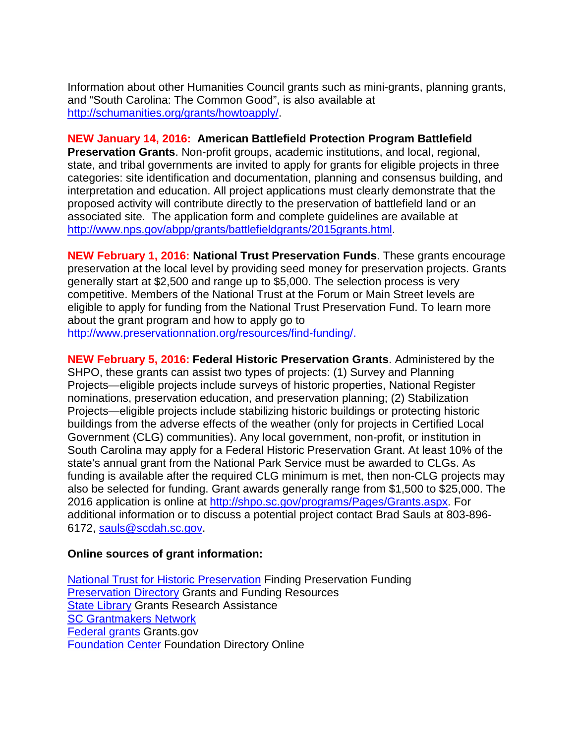Information about other Humanities Council grants such as mini-grants, planning grants, and "South Carolina: The Common Good", is also available at [http://schumanities.org/grants/howtoapply/.](http://schumanities.org/grants/howtoapply/)

### **NEW January 14, 2016: American Battlefield Protection Program Battlefield**

**Preservation Grants**. Non-profit groups, academic institutions, and local, regional, state, and tribal governments are invited to apply for grants for eligible projects in three categories: site identification and documentation, planning and consensus building, and interpretation and education. All project applications must clearly demonstrate that the proposed activity will contribute directly to the preservation of battlefield land or an associated site. The application form and complete guidelines are available at [http://www.nps.gov/abpp/grants/battlefieldgrants/2015grants.html.](http://www.nps.gov/abpp/grants/battlefieldgrants/2015grants.html)

**NEW February 1, 2016: National Trust Preservation Funds**. These grants encourage preservation at the local level by providing seed money for preservation projects. Grants generally start at \$2,500 and range up to \$5,000. The selection process is very competitive. Members of the National Trust at the Forum or Main Street levels are eligible to apply for funding from the National Trust Preservation Fund. To learn more about the grant program and how to apply go to

[http://www.preservationnation.org/resources/find-funding/.](http://www.preservationnation.org/resources/find-funding/)

**NEW February 5, 2016: Federal Historic Preservation Grants**. Administered by the SHPO, these grants can assist two types of projects: (1) Survey and Planning Projects—eligible projects include surveys of historic properties, National Register nominations, preservation education, and preservation planning; (2) Stabilization Projects—eligible projects include stabilizing historic buildings or protecting historic buildings from the adverse effects of the weather (only for projects in Certified Local Government (CLG) communities). Any local government, non-profit, or institution in South Carolina may apply for a Federal Historic Preservation Grant. At least 10% of the state's annual grant from the National Park Service must be awarded to CLGs. As funding is available after the required CLG minimum is met, then non-CLG projects may also be selected for funding. Grant awards generally range from \$1,500 to \$25,000. The 2016 application is online at [http://shpo.sc.gov/programs/Pages/Grants.aspx.](http://shpo.sc.gov/programs/Pages/Grants.aspx) For additional information or to discuss a potential project contact Brad Sauls at 803-896- 6172, [sauls@scdah.sc.gov.](mailto:sauls@scdah.sc.gov)

## **Online sources of grant information:**

[National Trust for Historic Preservation](http://www.preservationnation.org/resources/find-funding/) Finding Preservation Funding [Preservation Directory](http://www.preservationdirectory.com/PreservationGeneralResources/GrantsFundingSources.aspx) Grants and Funding Resources [State Library](http://www.statelibrary.sc.gov/grants-research-assistance) Grants Research Assistance [SC Grantmakers Network](http://www.scgrantmakers.com/) [Federal grants](http://www.grants.gov/) Grants.gov [Foundation Center](http://foundationcenter.org/) Foundation Directory Online